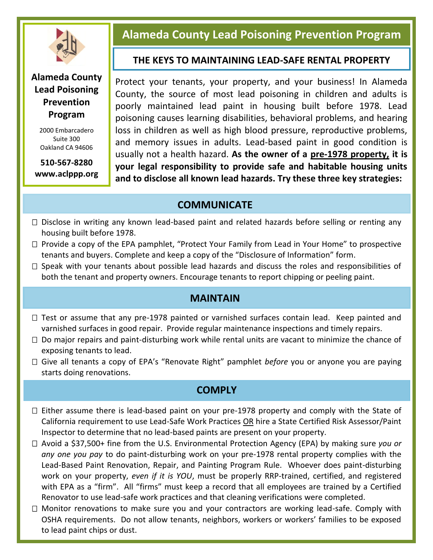

### **Alameda County Lead Poisoning Prevention Program**

2000 Embarcadero Suite 300 Oakland CA 94606

**510-567-8280 www.aclppp.org**

# **Alameda County Lead Poisoning Prevention Program**

#### **THE KEYS TO MAINTAINING LEAD-SAFE RENTAL PROPERTY**

Protect your tenants, your property, and your business! In Alameda County, the source of most lead poisoning in children and adults is poorly maintained lead paint in housing built before 1978. Lead poisoning causes learning disabilities, behavioral problems, and hearing loss in children as well as high blood pressure, reproductive problems, and memory issues in adults. Lead-based paint in good condition is usually not a health hazard. **As the owner of a pre-1978 property, it is your legal responsibility to provide safe and habitable housing units and to disclose all known lead hazards. Try these three key strategies:**

# **COMMUNICATE**

- $\Box$  Disclose in writing any known lead-based paint and related hazards before selling or renting any housing built before 1978.
- $\Box$  Provide a copy of the EPA pamphlet, "Protect Your Family from Lead in Your Home" to prospective tenants and buyers. Complete and keep a copy of the "Disclosure of Information" form.
- $\Box$  Speak with your tenants about possible lead hazards and discuss the roles and responsibilities of both the tenant and property owners. Encourage tenants to report chipping or peeling paint.

### **MAINTAIN**

- $\Box$  Test or assume that any pre-1978 painted or varnished surfaces contain lead. Keep painted and varnished surfaces in good repair. Provide regular maintenance inspections and timely repairs.
- $\Box$  Do major repairs and paint-disturbing work while rental units are vacant to minimize the chance of exposing tenants to lead.
- Give all tenants a copy of EPA's "Renovate Right" pamphlet *before* you or anyone you are paying starts doing renovations.

## **COMPLY**

- $\Box$  Either assume there is lead-based paint on your pre-1978 property and comply with the State of California requirement to use Lead-Safe Work Practices OR hire a State Certified Risk Assessor/Paint Inspector to determine that no lead-based paints are present on your property.
- Renovator to use lead-safe work practices and that cleaning verifications were completed. Avoid a \$37,500+ fine from the U.S. Environmental Protection Agency (EPA) by making sure *you or any one you pay* to do paint-disturbing work on your pre-1978 rental property complies with the Lead-Based Paint Renovation, Repair, and Painting Program Rule. Whoever does paint-disturbing work on your property, *even if it is YOU*, must be properly RRP-trained, certified, and registered with EPA as a "firm". All "firms" must keep a record that all employees are trained by a Certified
- $\Box$  Monitor renovations to make sure you and your contractors are working lead-safe. Comply with OSHA requirements. Do not allow tenants, neighbors, workers or workers' families to be exposed to lead paint chips or dust.